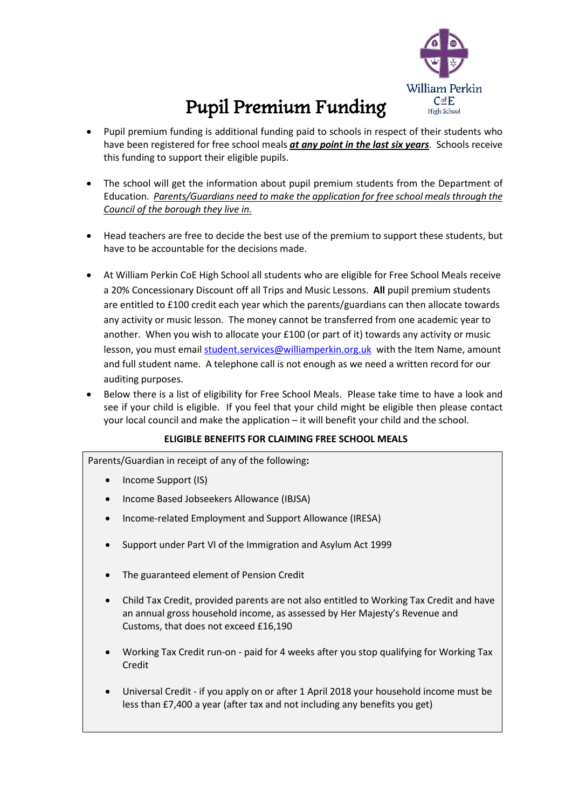

## Pupil Premium Funding

- Pupil premium funding is additional funding paid to schools in respect of their students who have been registered for free school meals *at any point in the last six years*. Schools receive this funding to support their eligible pupils.
- The school will get the information about pupil premium students from the Department of Education. *Parents/Guardians need to make the application for free school meals through the Council of the borough they live in.*
- Head teachers are free to decide the best use of the premium to support these students, but have to be accountable for the decisions made.
- At William Perkin CoE High School all students who are eligible for Free School Meals receive a 20% Concessionary Discount off all Trips and Music Lessons. **All** pupil premium students are entitled to £100 credit each year which the parents/guardians can then allocate towards any activity or music lesson. The money cannot be transferred from one academic year to another. When you wish to allocate your £100 (or part of it) towards any activity or music lesson, you must email [student.services@williamperkin.org.uk](mailto:student.services@williamperkin.org.uk) with the Item Name, amount and full student name. A telephone call is not enough as we need a written record for our auditing purposes.
- Below there is a list of eligibility for Free School Meals. Please take time to have a look and see if your child is eligible. If you feel that your child might be eligible then please contact your local council and make the application – it will benefit your child and the school.

## **ELIGIBLE BENEFITS FOR CLAIMING FREE SCHOOL MEALS**

Parents/Guardian in receipt of any of the following**:**

- Income Support (IS)
- Income Based Jobseekers Allowance (IBJSA)
- Income-related Employment and Support Allowance (IRESA)
- Support under Part VI of the Immigration and Asylum Act 1999
- The guaranteed element of Pension Credit
- Child Tax Credit, provided parents are not also entitled to Working Tax Credit and have an annual gross household income, as assessed by Her Majesty's Revenue and Customs, that does not exceed £16,190
- Working Tax Credit run-on paid for 4 weeks after you stop qualifying for Working Tax Credit
- Universal Credit if you apply on or after 1 April 2018 your household income must be less than £7,400 a year (after tax and not including any benefits you get)